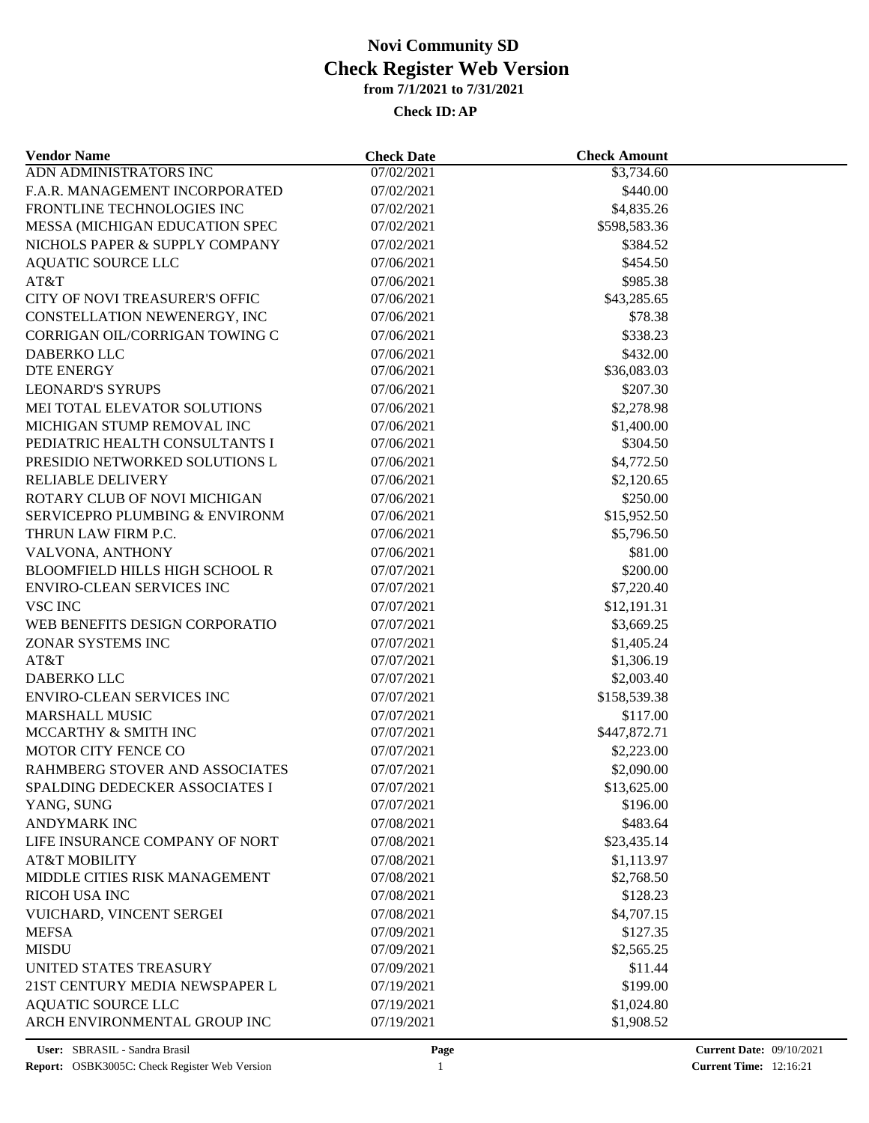## **from 7/1/2021 to 7/31/2021 Check Register Web Version Novi Community SD**

## **Check ID:AP**

| <b>Vendor Name</b>                                                        | <b>Check Date</b>        | <b>Check Amount</b> |  |
|---------------------------------------------------------------------------|--------------------------|---------------------|--|
| ADN ADMINISTRATORS INC                                                    | 07/02/2021               | \$3,734.60          |  |
| F.A.R. MANAGEMENT INCORPORATED                                            | 07/02/2021               | \$440.00            |  |
| FRONTLINE TECHNOLOGIES INC                                                | 07/02/2021               | \$4,835.26          |  |
| MESSA (MICHIGAN EDUCATION SPEC                                            | 07/02/2021               | \$598,583.36        |  |
| NICHOLS PAPER & SUPPLY COMPANY                                            | 07/02/2021               | \$384.52            |  |
| <b>AQUATIC SOURCE LLC</b>                                                 | 07/06/2021               | \$454.50            |  |
| AT&T                                                                      | 07/06/2021               | \$985.38            |  |
| CITY OF NOVI TREASURER'S OFFIC                                            | 07/06/2021               | \$43,285.65         |  |
| CONSTELLATION NEWENERGY, INC                                              | 07/06/2021               | \$78.38             |  |
| CORRIGAN OIL/CORRIGAN TOWING C                                            | 07/06/2021               | \$338.23            |  |
| DABERKO LLC                                                               | 07/06/2021               | \$432.00            |  |
| <b>DTE ENERGY</b>                                                         | 07/06/2021               | \$36,083.03         |  |
| <b>LEONARD'S SYRUPS</b>                                                   | 07/06/2021               | \$207.30            |  |
| MEI TOTAL ELEVATOR SOLUTIONS                                              | 07/06/2021               | \$2,278.98          |  |
| MICHIGAN STUMP REMOVAL INC                                                | 07/06/2021               | \$1,400.00          |  |
| PEDIATRIC HEALTH CONSULTANTS I                                            | 07/06/2021               | \$304.50            |  |
| PRESIDIO NETWORKED SOLUTIONS L                                            | 07/06/2021               | \$4,772.50          |  |
| <b>RELIABLE DELIVERY</b>                                                  | 07/06/2021               | \$2,120.65          |  |
| ROTARY CLUB OF NOVI MICHIGAN                                              | 07/06/2021               | \$250.00            |  |
| SERVICEPRO PLUMBING & ENVIRONM                                            | 07/06/2021               | \$15,952.50         |  |
| THRUN LAW FIRM P.C.                                                       | 07/06/2021               | \$5,796.50          |  |
| VALVONA, ANTHONY                                                          | 07/06/2021               | \$81.00             |  |
|                                                                           |                          |                     |  |
| <b>BLOOMFIELD HILLS HIGH SCHOOL R</b><br><b>ENVIRO-CLEAN SERVICES INC</b> | 07/07/2021<br>07/07/2021 | \$200.00            |  |
|                                                                           |                          | \$7,220.40          |  |
| <b>VSC INC</b>                                                            | 07/07/2021               | \$12,191.31         |  |
| WEB BENEFITS DESIGN CORPORATIO                                            | 07/07/2021               | \$3,669.25          |  |
| ZONAR SYSTEMS INC                                                         | 07/07/2021               | \$1,405.24          |  |
| AT&T                                                                      | 07/07/2021               | \$1,306.19          |  |
| <b>DABERKO LLC</b>                                                        | 07/07/2021               | \$2,003.40          |  |
| <b>ENVIRO-CLEAN SERVICES INC</b>                                          | 07/07/2021               | \$158,539.38        |  |
| <b>MARSHALL MUSIC</b>                                                     | 07/07/2021               | \$117.00            |  |
| MCCARTHY & SMITH INC                                                      | 07/07/2021               | \$447,872.71        |  |
| MOTOR CITY FENCE CO                                                       | 07/07/2021               | \$2,223.00          |  |
| RAHMBERG STOVER AND ASSOCIATES                                            | 07/07/2021               | \$2,090.00          |  |
| SPALDING DEDECKER ASSOCIATES I                                            | 07/07/2021               | \$13,625.00         |  |
| YANG, SUNG                                                                | 07/07/2021               | \$196.00            |  |
| <b>ANDYMARK INC</b>                                                       | 07/08/2021               | \$483.64            |  |
| LIFE INSURANCE COMPANY OF NORT                                            | 07/08/2021               | \$23,435.14         |  |
| <b>AT&amp;T MOBILITY</b>                                                  | 07/08/2021               | \$1,113.97          |  |
| MIDDLE CITIES RISK MANAGEMENT                                             | 07/08/2021               | \$2,768.50          |  |
| RICOH USA INC                                                             | 07/08/2021               | \$128.23            |  |
| VUICHARD, VINCENT SERGEI                                                  | 07/08/2021               | \$4,707.15          |  |
| <b>MEFSA</b>                                                              | 07/09/2021               | \$127.35            |  |
| <b>MISDU</b>                                                              | 07/09/2021               | \$2,565.25          |  |
| UNITED STATES TREASURY                                                    | 07/09/2021               | \$11.44             |  |
| 21ST CENTURY MEDIA NEWSPAPER L                                            | 07/19/2021               | \$199.00            |  |
| <b>AQUATIC SOURCE LLC</b>                                                 | 07/19/2021               | \$1,024.80          |  |
| ARCH ENVIRONMENTAL GROUP INC                                              | 07/19/2021               | \$1,908.52          |  |
|                                                                           |                          |                     |  |